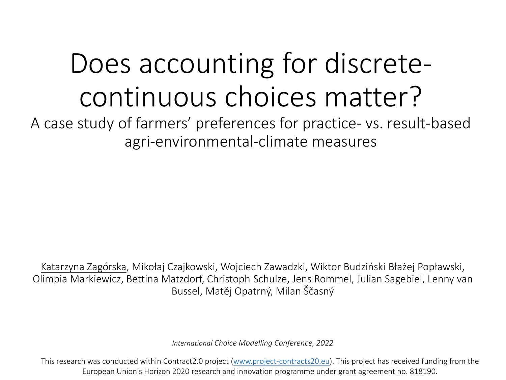## Does accounting for discretecontinuous choices matter?

A case study of farmers' preferences for practice- vs. result-based agri-environmental-climate measures

Katarzyna Zagórska, Mikołaj Czajkowski, Wojciech Zawadzki, Wiktor Budziński Błażej Popławski, Olimpia Markiewicz, Bettina Matzdorf, Christoph Schulze, Jens Rommel, Julian Sagebiel, Lenny van Bussel, Matěj Opatrný, Milan Ščasný

*International Choice Modelling Conference, 2022*

This research was conducted within Contract2.0 project (www.project-[contracts20.eu](http://www.project-contracts20.eu/)). This project has received funding from the European Union's Horizon 2020 research and innovation programme under grant agreement no. 818190.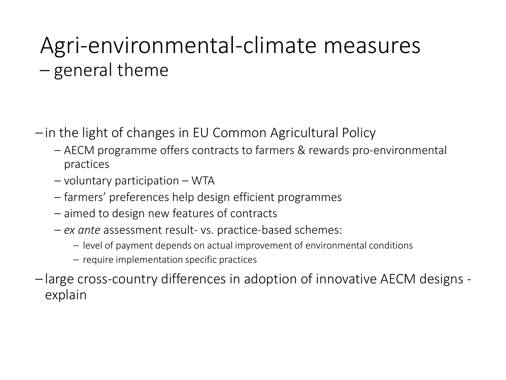### Agri-environmental-climate measures – general theme

- in the light of changes in EU Common Agricultural Policy
	- AECM programme offers contracts to farmers & rewards pro-environmental practices
	- voluntary participation WTA
	- farmers' preferences help design efficient programmes
	- aimed to design new features of contracts
	- *ex ante* assessment result- vs. practice-based schemes:
		- level of payment depends on actual improvement of environmental conditions
		- require implementation specific practices
- large cross-country differences in adoption of innovative AECM designs explain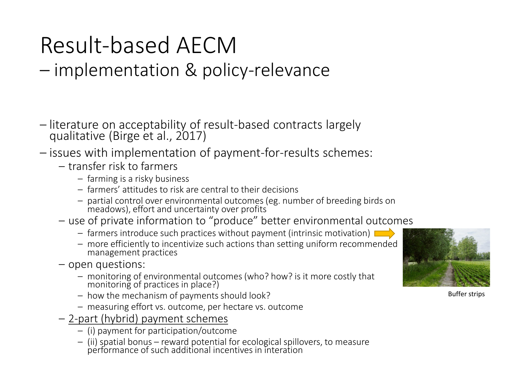# Result-based AECM – implementation & policy-relevance

- literature on acceptability of result-based contracts largely qualitative (Birge et al., 2017)
- issues with implementation of payment-for-results schemes:
	- transfer risk to farmers
		- farming is a risky business
		- farmers' attitudes to risk are central to their decisions
		- partial control over environmental outcomes (eg. number of breeding birds on meadows), effort and uncertainty over profits
	- use of private information to "produce" better environmental outcomes
		- $-$  farmers introduce such practices without payment (intrinsic motivation)
		- more efficiently to incentivize such actions than setting uniform recommended management practices
	- open questions:
		- monitoring of environmental outcomes (who? how? is it more costly that monitoring of practices in place?)
		- how the mechanism of payments should look?
		- measuring effort vs. outcome, per hectare vs. outcome
	- 2-part (hybrid) payment schemes
		- (i) payment for participation/outcome
		- (ii) spatial bonus reward potential for ecological spillovers, to measure performance of such additional incentives in interation



Buffer strips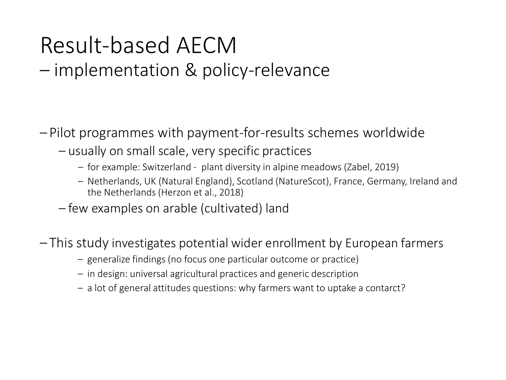# Result-based AECM – implementation & policy-relevance

– Pilot programmes with payment-for-results schemes worldwide

- usually on small scale, very specific practices
	- for example: Switzerland plant diversity in alpine meadows (Zabel, 2019)
	- Netherlands, UK (Natural England), Scotland (NatureScot), France, Germany, Ireland and the Netherlands (Herzon et al., 2018)
- few examples on arable (cultivated) land
- This study investigates potential wider enrollment by European farmers
	- generalize findings (no focus one particular outcome or practice)
	- in design: universal agricultural practices and generic description
	- a lot of general attitudes questions: why farmers want to uptake a contarct?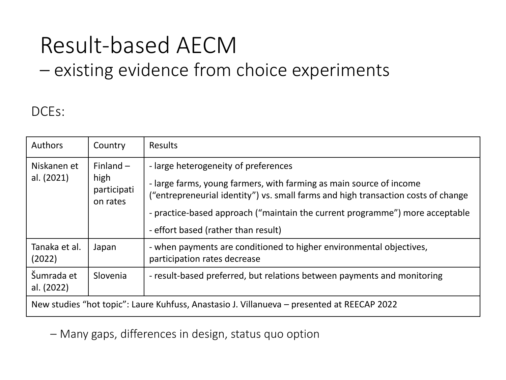# Result-based AECM – existing evidence from choice experiments

#### DCEs:

| <b>Authors</b>                                                                             | Country                                        | <b>Results</b>                                                                                                                                                                                                                                                                                                          |  |  |
|--------------------------------------------------------------------------------------------|------------------------------------------------|-------------------------------------------------------------------------------------------------------------------------------------------------------------------------------------------------------------------------------------------------------------------------------------------------------------------------|--|--|
| Niskanen et<br>al. (2021)                                                                  | Finland $-$<br>high<br>participati<br>on rates | - large heterogeneity of preferences<br>- large farms, young farmers, with farming as main source of income<br>("entrepreneurial identity") vs. small farms and high transaction costs of change<br>- practice-based approach ("maintain the current programme") more acceptable<br>- effort based (rather than result) |  |  |
| Tanaka et al.<br>(2022)                                                                    | Japan                                          | - when payments are conditioned to higher environmental objectives,<br>participation rates decrease                                                                                                                                                                                                                     |  |  |
| Šumrada et<br>al. (2022)                                                                   | Slovenia                                       | - result-based preferred, but relations between payments and monitoring                                                                                                                                                                                                                                                 |  |  |
| New studies "hot topic": Laure Kuhfuss, Anastasio J. Villanueva – presented at REECAP 2022 |                                                |                                                                                                                                                                                                                                                                                                                         |  |  |

– Many gaps, differences in design, status quo option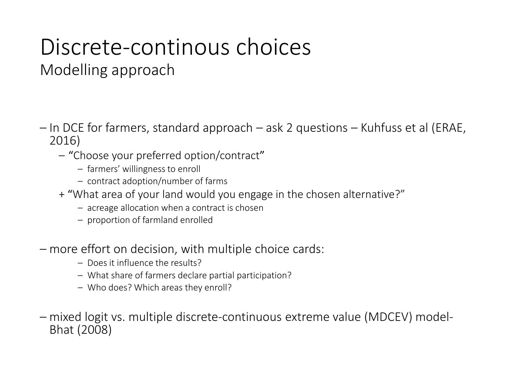#### Discrete-continous choices Modelling approach

- In DCE for farmers, standard approach ask 2 questions Kuhfuss et al (ERAE, 2016)
	- "Choose your preferred option/contract"
		- farmers' willingness to enroll
		- contract adoption/number of farms
	- + "What area of your land would you engage in the chosen alternative?"
		- acreage allocation when a contract is chosen
		- proportion of farmland enrolled
- more effort on decision, with multiple choice cards:
	- Does it influence the results?
	- What share of farmers declare partial participation?
	- Who does? Which areas they enroll?
- mixed logit vs. multiple discrete-continuous extreme value (MDCEV) model- Bhat (2008)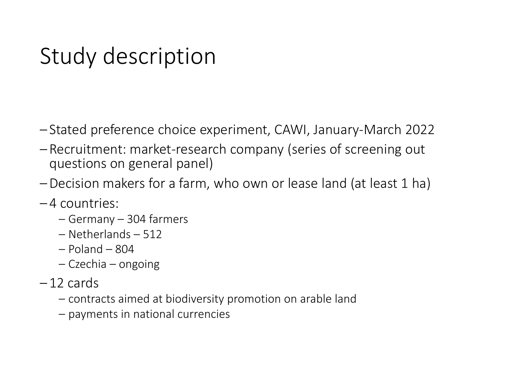### Study description

- Stated preference choice experiment, CAWI, January-March 2022
- Recruitment: market-research company (series of screening out questions on general panel)
- –Decision makers for a farm, who own or lease land (at least 1 ha)
- 4 countries:
	- Germany 304 farmers
	- Netherlands 512
	- Poland 804
	- Czechia ongoing
- $-12$  cards
	- contracts aimed at biodiversity promotion on arable land
	- payments in national currencies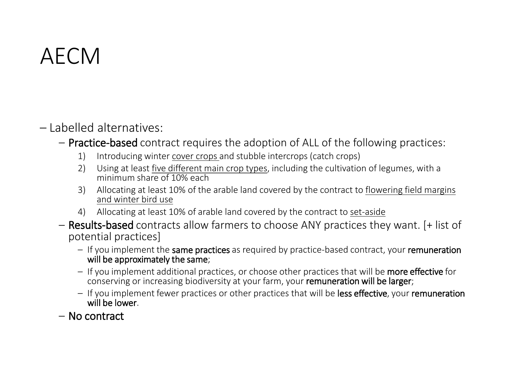### AECM

- Labelled alternatives:
	- Practice-based contract requires the adoption of ALL of the following practices:
		- 1) Introducing winter cover crops and stubble intercrops (catch crops)
		- 2) Using at least five different main crop types, including the cultivation of legumes, with a minimum share of 10% each
		- 3) Allocating at least 10% of the arable land covered by the contract to flowering field margins and winter bird use
		- 4) Allocating at least 10% of arable land covered by the contract to set-aside
	- Results-based contracts allow farmers to choose ANY practices they want. [+ list of potential practices]
		- If you implement the same practices as required by practice-based contract, your remuneration will be approximately the same;
		- If you implement additional practices, or choose other practices that will be more effective for conserving or increasing biodiversity at your farm, your remuneration will be larger;
		- If you implement fewer practices or other practices that will be less effective, your remuneration will be lower.
	- No contract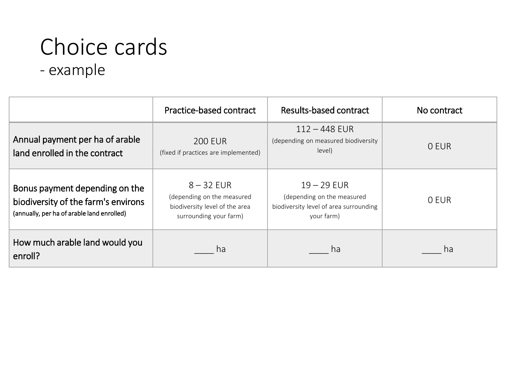# Choice cards

- example

|                                                                                                                     | Practice-based contract                                                                                | Results-based contract                                                                              | No contract |
|---------------------------------------------------------------------------------------------------------------------|--------------------------------------------------------------------------------------------------------|-----------------------------------------------------------------------------------------------------|-------------|
| Annual payment per ha of arable<br>land enrolled in the contract                                                    | <b>200 EUR</b><br>(fixed if practices are implemented)                                                 | $112 - 448$ EUR<br>(depending on measured biodiversity<br>level)                                    | 0 EUR       |
| Bonus payment depending on the<br>biodiversity of the farm's environs<br>(annually, per ha of arable land enrolled) | $8 - 32$ EUR<br>(depending on the measured<br>biodiversity level of the area<br>surrounding your farm) | $19 - 29$ EUR<br>(depending on the measured<br>biodiversity level of area surrounding<br>your farm) | O EUR       |
| How much arable land would you<br>enroll?                                                                           | ha                                                                                                     | ha                                                                                                  | ha          |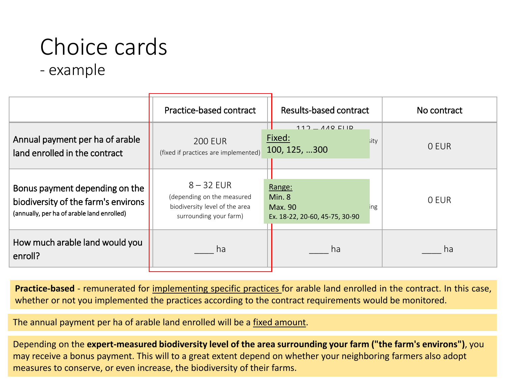## Choice cards

- example

|                                                                                                                     | Practice-based contract                                                                                | Results-based contract                                                     | No contract |  |
|---------------------------------------------------------------------------------------------------------------------|--------------------------------------------------------------------------------------------------------|----------------------------------------------------------------------------|-------------|--|
| Annual payment per ha of arable<br>land enrolled in the contract                                                    | <b>200 EUR</b><br>(fixed if practices are implemented)                                                 | $AAO$ $F11D$<br>112<br>Fixed:<br>sitv<br>100, 125, 300                     | 0 EUR       |  |
| Bonus payment depending on the<br>biodiversity of the farm's environs<br>(annually, per ha of arable land enrolled) | $8 - 32$ EUR<br>(depending on the measured<br>biodiversity level of the area<br>surrounding your farm) | Range:<br>Min.8<br>Max. 90<br><b>Ing</b><br>Ex. 18-22, 20-60, 45-75, 30-90 | 0 EUR       |  |
| How much arable land would you<br>enroll?                                                                           | ha                                                                                                     | ha                                                                         | ha          |  |

**Practice-based** - remunerated for implementing specific practices for arable land enrolled in the contract. In this case, whether or not you implemented the practices according to the contract requirements would be monitored.

The annual payment per ha of arable land enrolled will be a fixed amount.

Depending on the **expert-measured biodiversity level of the area surrounding your farm ("the farm's environs")**, you may receive a bonus payment. This will to a great extent depend on whether your neighboring farmers also adopt measures to conserve, or even increase, the biodiversity of their farms.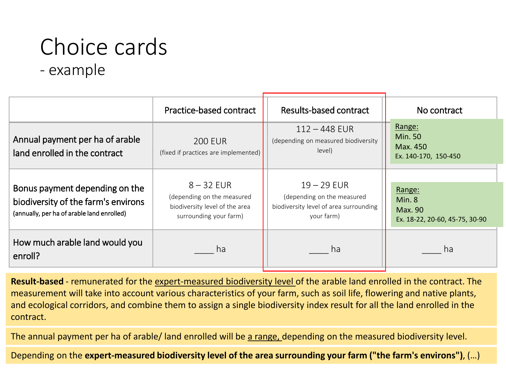# Choice cards

- example

|                                                                                                                     | Practice-based contract                                                                                | Results-based contract                                                                              | No contract                                                  |
|---------------------------------------------------------------------------------------------------------------------|--------------------------------------------------------------------------------------------------------|-----------------------------------------------------------------------------------------------------|--------------------------------------------------------------|
| Annual payment per ha of arable<br>land enrolled in the contract                                                    | <b>200 EUR</b><br>(fixed if practices are implemented)                                                 | $112 - 448$ EUR<br>(depending on measured biodiversity<br>level)                                    | Range:<br><b>Min. 50</b><br>Max. 450<br>Ex. 140-170, 150-450 |
| Bonus payment depending on the<br>biodiversity of the farm's environs<br>(annually, per ha of arable land enrolled) | $8 - 32$ EUR<br>(depending on the measured<br>biodiversity level of the area<br>surrounding your farm) | $19 - 29$ EUR<br>(depending on the measured<br>biodiversity level of area surrounding<br>your farm) | Range:<br>Min.8<br>Max. 90<br>Ex. 18-22, 20-60, 45-75, 30-90 |
| How much arable land would you<br>enroll?                                                                           | ha                                                                                                     | ha                                                                                                  | ha                                                           |

**Result-based** - remunerated for the expert-measured biodiversity level of the arable land enrolled in the contract. The measurement will take into account various characteristics of your farm, such as soil life, flowering and native plants, and ecological corridors, and combine them to assign a single biodiversity index result for all the land enrolled in the contract.

The annual payment per ha of arable/ land enrolled will be a range, depending on the measured biodiversity level.

Depending on the **expert-measured biodiversity level of the area surrounding your farm ("the farm's environs")**, (…)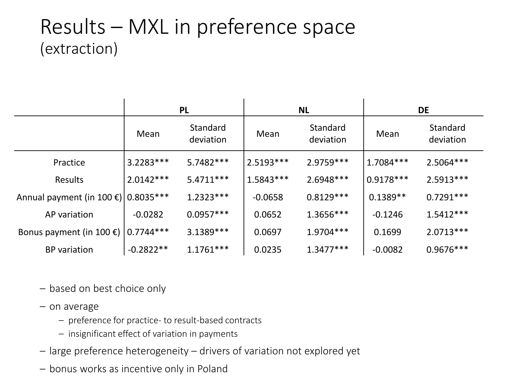#### Results – MXL in preference space (extraction)

|                                        | <b>PL</b>     |                       | <b>NL</b>   |                       | <b>DE</b>   |                       |
|----------------------------------------|---------------|-----------------------|-------------|-----------------------|-------------|-----------------------|
|                                        | Mean          | Standard<br>deviation | Mean        | Standard<br>deviation | Mean        | Standard<br>deviation |
| Practice                               | $3.2283***$   | $5.7482***$           | $2.5193***$ | 2.9759 ***            | $1.7084***$ | $2.5064***$           |
| Results                                | $2.0142***$   | $5.4711***$           | $1.5843***$ | 2.6948***             | $0.9178***$ | $2.5913***$           |
| Annual payment (in 100 €)   0.8035 *** |               | $1.2323***$           | $-0.0658$   | $0.8129***$           | $0.1389**$  | $0.7291***$           |
| AP variation                           | $-0.0282$     | $0.0957***$           | 0.0652      | $1.3656***$           | $-0.1246$   | $1.5412***$           |
| Bonus payment (in 100 $\epsilon$ )     | $ 0.7744*** $ | $3.1389***$           | 0.0697      | $1.9704***$           | 0.1699      | $2.0713***$           |
| <b>BP</b> variation                    | $-0.2822**$   | $1.1761***$           | 0.0235      | $1.3477***$           | $-0.0082$   | $0.9676***$           |

– based on best choice only

- on average
	- preference for practice- to result-based contracts
	- insignificant effect of variation in payments
- large preference heterogeneity drivers of variation not explored yet
- bonus works as incentive only in Poland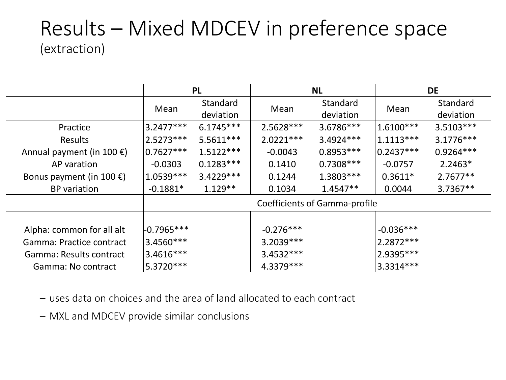#### Results – Mixed MDCEV in preference space (extraction)

|                                     | <b>PL</b>                            |                       | <b>NL</b>   |                       | <b>DE</b>   |                       |
|-------------------------------------|--------------------------------------|-----------------------|-------------|-----------------------|-------------|-----------------------|
|                                     | Mean                                 | Standard<br>deviation | Mean        | Standard<br>deviation | Mean        | Standard<br>deviation |
| Practice                            | $13.2477***$                         | $6.1745***$           | 2.5628 ***  | 3.6786***             | $1.6100***$ | $3.5103***$           |
| Results                             | $2.5273***$                          | $5.5611***$           | $2.0221***$ | 3.4924 ***            | $1.1113***$ | $3.1776***$           |
| Annual payment (in 100 $\epsilon$ ) | $ 0.7627*** $                        | $1.5122***$           | $-0.0043$   | $0.8953***$           | $0.2437***$ | $0.9264***$           |
| AP varation                         | $-0.0303$                            | $0.1283***$           | 0.1410      | $0.7308***$           | $-0.0757$   | $2.2463*$             |
| Bonus payment (in 100 €)            | $1.0539***$                          | $3.4229***$           | 0.1244      | 1.3803 ***            | $0.3611*$   | $2.7677**$            |
| <b>BP</b> variation                 | $-0.1881*$                           | $1.129**$             | 0.1034      | $1.4547**$            | 0.0044      | $3.7367**$            |
|                                     | <b>Coefficients of Gamma-profile</b> |                       |             |                       |             |                       |
|                                     |                                      |                       |             |                       |             |                       |
| Alpha: common for all alt           | $-0.7965***$                         |                       | $-0.276***$ |                       | $-0.036***$ |                       |
| Gamma: Practice contract            | $13.4560***$                         |                       | $3.2039***$ |                       | $2.2872***$ |                       |
| Gamma: Results contract             | $3.4616***$                          |                       | $3.4532***$ |                       | 2.9395 ***  |                       |
| Gamma: No contract                  | 5.3720 ***                           |                       | 4.3379 ***  |                       | 3.3314***   |                       |

– uses data on choices and the area of land allocated to each contract

– MXL and MDCEV provide similar conclusions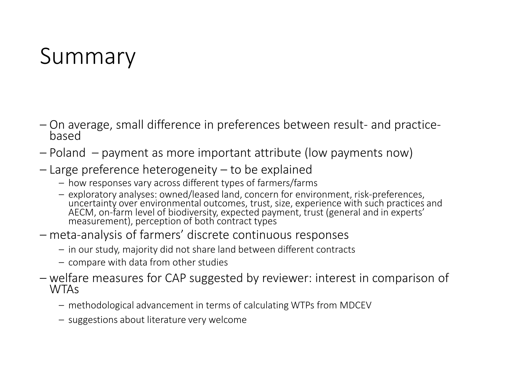### Summary

- On average, small difference in preferences between result- and practice- based
- Poland payment as more important attribute (low payments now)
- Large preference heterogeneity to be explained
	- how responses vary across different types of farmers/farms
	- exploratory analyses: owned/leased land, concern for environment, risk-preferences, uncertainty over environmental outcomes, trust, size, experience with such practices and AECM, on-farm level of biodiversity, expected payment, trust (general and in experts'<br>measurement), perception of both contract types
- meta-analysis of farmers' discrete continuous responses
	- in our study, majority did not share land between different contracts
	- compare with data from other studies
- welfare measures for CAP suggested by reviewer: interest in comparison of WTAs
	- methodological advancement in terms of calculating WTPs from MDCEV
	- suggestions about literature very welcome